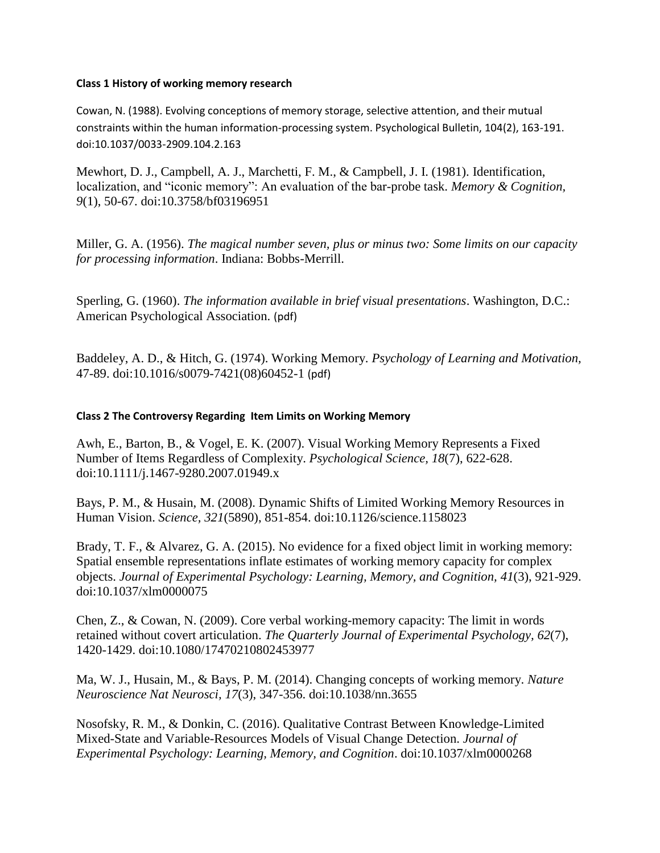### **Class 1 History of working memory research**

Cowan, N. (1988). Evolving conceptions of memory storage, selective attention, and their mutual constraints within the human information-processing system. Psychological Bulletin, 104(2), 163-191. doi:10.1037/0033-2909.104.2.163

Mewhort, D. J., Campbell, A. J., Marchetti, F. M., & Campbell, J. I. (1981). Identification, localization, and "iconic memory": An evaluation of the bar-probe task. *Memory & Cognition, 9*(1), 50-67. doi:10.3758/bf03196951

Miller, G. A. (1956). *The magical number seven, plus or minus two: Some limits on our capacity for processing information*. Indiana: Bobbs-Merrill.

Sperling, G. (1960). *The information available in brief visual presentations*. Washington, D.C.: American Psychological Association. (pdf)

Baddeley, A. D., & Hitch, G. (1974). Working Memory. *Psychology of Learning and Motivation,* 47-89. doi:10.1016/s0079-7421(08)60452-1 (pdf)

## **Class 2 The Controversy Regarding Item Limits on Working Memory**

Awh, E., Barton, B., & Vogel, E. K. (2007). Visual Working Memory Represents a Fixed Number of Items Regardless of Complexity. *Psychological Science, 18*(7), 622-628. doi:10.1111/j.1467-9280.2007.01949.x

Bays, P. M., & Husain, M. (2008). Dynamic Shifts of Limited Working Memory Resources in Human Vision. *Science, 321*(5890), 851-854. doi:10.1126/science.1158023

Brady, T. F., & Alvarez, G. A. (2015). No evidence for a fixed object limit in working memory: Spatial ensemble representations inflate estimates of working memory capacity for complex objects. *Journal of Experimental Psychology: Learning, Memory, and Cognition, 41*(3), 921-929. doi:10.1037/xlm0000075

Chen, Z., & Cowan, N. (2009). Core verbal working-memory capacity: The limit in words retained without covert articulation. *The Quarterly Journal of Experimental Psychology, 62*(7), 1420-1429. doi:10.1080/17470210802453977

Ma, W. J., Husain, M., & Bays, P. M. (2014). Changing concepts of working memory. *Nature Neuroscience Nat Neurosci, 17*(3), 347-356. doi:10.1038/nn.3655

Nosofsky, R. M., & Donkin, C. (2016). Qualitative Contrast Between Knowledge-Limited Mixed-State and Variable-Resources Models of Visual Change Detection. *Journal of Experimental Psychology: Learning, Memory, and Cognition*. doi:10.1037/xlm0000268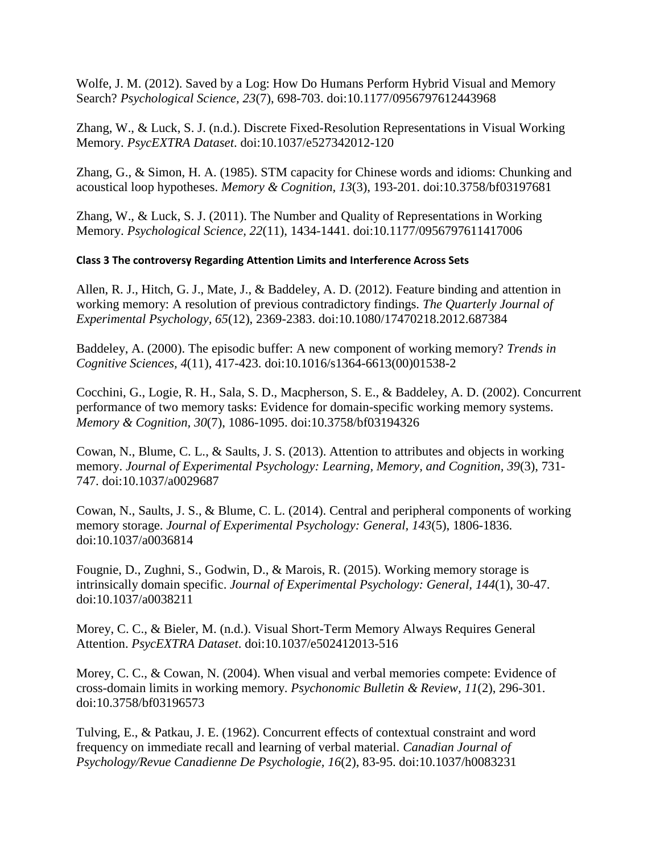Wolfe, J. M. (2012). Saved by a Log: How Do Humans Perform Hybrid Visual and Memory Search? *Psychological Science, 23*(7), 698-703. doi:10.1177/0956797612443968

Zhang, W., & Luck, S. J. (n.d.). Discrete Fixed-Resolution Representations in Visual Working Memory. *PsycEXTRA Dataset*. doi:10.1037/e527342012-120

Zhang, G., & Simon, H. A. (1985). STM capacity for Chinese words and idioms: Chunking and acoustical loop hypotheses. *Memory & Cognition, 13*(3), 193-201. doi:10.3758/bf03197681

Zhang, W., & Luck, S. J. (2011). The Number and Quality of Representations in Working Memory. *Psychological Science, 22*(11), 1434-1441. doi:10.1177/0956797611417006

# **Class 3 The controversy Regarding Attention Limits and Interference Across Sets**

Allen, R. J., Hitch, G. J., Mate, J., & Baddeley, A. D. (2012). Feature binding and attention in working memory: A resolution of previous contradictory findings. *The Quarterly Journal of Experimental Psychology, 65*(12), 2369-2383. doi:10.1080/17470218.2012.687384

Baddeley, A. (2000). The episodic buffer: A new component of working memory? *Trends in Cognitive Sciences, 4*(11), 417-423. doi:10.1016/s1364-6613(00)01538-2

Cocchini, G., Logie, R. H., Sala, S. D., Macpherson, S. E., & Baddeley, A. D. (2002). Concurrent performance of two memory tasks: Evidence for domain-specific working memory systems. *Memory & Cognition, 30*(7), 1086-1095. doi:10.3758/bf03194326

Cowan, N., Blume, C. L., & Saults, J. S. (2013). Attention to attributes and objects in working memory. *Journal of Experimental Psychology: Learning, Memory, and Cognition, 39*(3), 731- 747. doi:10.1037/a0029687

Cowan, N., Saults, J. S., & Blume, C. L. (2014). Central and peripheral components of working memory storage. *Journal of Experimental Psychology: General, 143*(5), 1806-1836. doi:10.1037/a0036814

Fougnie, D., Zughni, S., Godwin, D., & Marois, R. (2015). Working memory storage is intrinsically domain specific. *Journal of Experimental Psychology: General, 144*(1), 30-47. doi:10.1037/a0038211

Morey, C. C., & Bieler, M. (n.d.). Visual Short-Term Memory Always Requires General Attention. *PsycEXTRA Dataset*. doi:10.1037/e502412013-516

Morey, C. C., & Cowan, N. (2004). When visual and verbal memories compete: Evidence of cross-domain limits in working memory. *Psychonomic Bulletin & Review, 11*(2), 296-301. doi:10.3758/bf03196573

Tulving, E., & Patkau, J. E. (1962). Concurrent effects of contextual constraint and word frequency on immediate recall and learning of verbal material. *Canadian Journal of Psychology/Revue Canadienne De Psychologie, 16*(2), 83-95. doi:10.1037/h0083231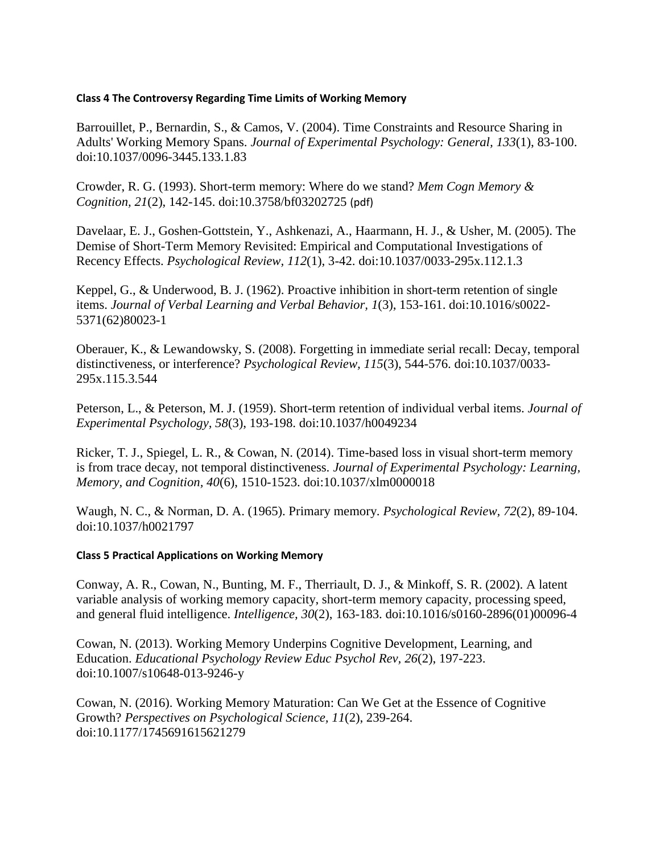### **Class 4 The Controversy Regarding Time Limits of Working Memory**

Barrouillet, P., Bernardin, S., & Camos, V. (2004). Time Constraints and Resource Sharing in Adults' Working Memory Spans. *Journal of Experimental Psychology: General, 133*(1), 83-100. doi:10.1037/0096-3445.133.1.83

Crowder, R. G. (1993). Short-term memory: Where do we stand? *Mem Cogn Memory & Cognition, 21*(2), 142-145. doi:10.3758/bf03202725 (pdf)

Davelaar, E. J., Goshen-Gottstein, Y., Ashkenazi, A., Haarmann, H. J., & Usher, M. (2005). The Demise of Short-Term Memory Revisited: Empirical and Computational Investigations of Recency Effects. *Psychological Review, 112*(1), 3-42. doi:10.1037/0033-295x.112.1.3

Keppel, G., & Underwood, B. J. (1962). Proactive inhibition in short-term retention of single items. *Journal of Verbal Learning and Verbal Behavior, 1*(3), 153-161. doi:10.1016/s0022- 5371(62)80023-1

Oberauer, K., & Lewandowsky, S. (2008). Forgetting in immediate serial recall: Decay, temporal distinctiveness, or interference? *Psychological Review, 115*(3), 544-576. doi:10.1037/0033- 295x.115.3.544

Peterson, L., & Peterson, M. J. (1959). Short-term retention of individual verbal items. *Journal of Experimental Psychology, 58*(3), 193-198. doi:10.1037/h0049234

Ricker, T. J., Spiegel, L. R., & Cowan, N. (2014). Time-based loss in visual short-term memory is from trace decay, not temporal distinctiveness. *Journal of Experimental Psychology: Learning, Memory, and Cognition, 40*(6), 1510-1523. doi:10.1037/xlm0000018

Waugh, N. C., & Norman, D. A. (1965). Primary memory. *Psychological Review, 72*(2), 89-104. doi:10.1037/h0021797

# **Class 5 Practical Applications on Working Memory**

Conway, A. R., Cowan, N., Bunting, M. F., Therriault, D. J., & Minkoff, S. R. (2002). A latent variable analysis of working memory capacity, short-term memory capacity, processing speed, and general fluid intelligence. *Intelligence, 30*(2), 163-183. doi:10.1016/s0160-2896(01)00096-4

Cowan, N. (2013). Working Memory Underpins Cognitive Development, Learning, and Education. *Educational Psychology Review Educ Psychol Rev, 26*(2), 197-223. doi:10.1007/s10648-013-9246-y

Cowan, N. (2016). Working Memory Maturation: Can We Get at the Essence of Cognitive Growth? *Perspectives on Psychological Science, 11*(2), 239-264. doi:10.1177/1745691615621279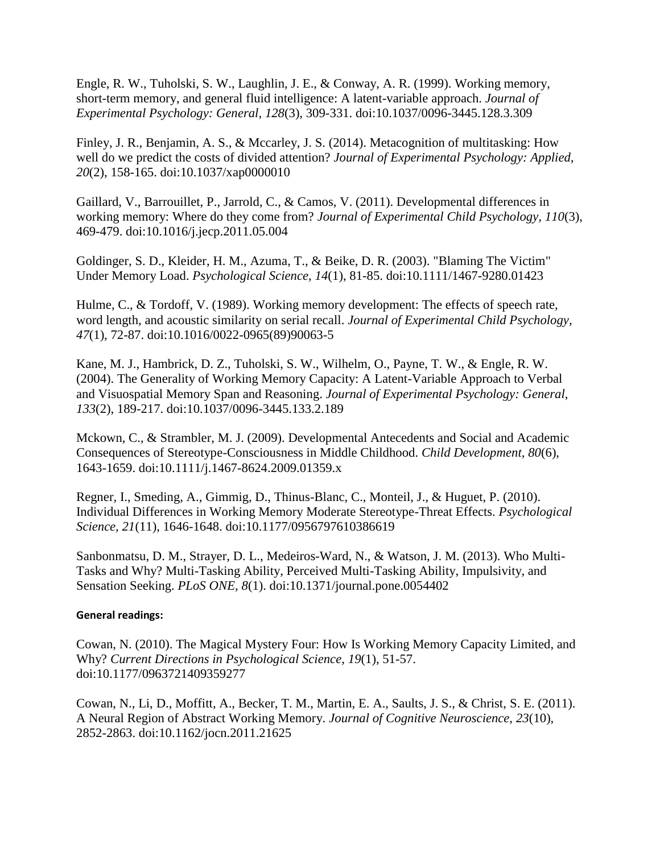Engle, R. W., Tuholski, S. W., Laughlin, J. E., & Conway, A. R. (1999). Working memory, short-term memory, and general fluid intelligence: A latent-variable approach. *Journal of Experimental Psychology: General, 128*(3), 309-331. doi:10.1037/0096-3445.128.3.309

Finley, J. R., Benjamin, A. S., & Mccarley, J. S. (2014). Metacognition of multitasking: How well do we predict the costs of divided attention? *Journal of Experimental Psychology: Applied, 20*(2), 158-165. doi:10.1037/xap0000010

Gaillard, V., Barrouillet, P., Jarrold, C., & Camos, V. (2011). Developmental differences in working memory: Where do they come from? *Journal of Experimental Child Psychology, 110*(3), 469-479. doi:10.1016/j.jecp.2011.05.004

Goldinger, S. D., Kleider, H. M., Azuma, T., & Beike, D. R. (2003). "Blaming The Victim" Under Memory Load. *Psychological Science, 14*(1), 81-85. doi:10.1111/1467-9280.01423

Hulme, C., & Tordoff, V. (1989). Working memory development: The effects of speech rate, word length, and acoustic similarity on serial recall. *Journal of Experimental Child Psychology, 47*(1), 72-87. doi:10.1016/0022-0965(89)90063-5

Kane, M. J., Hambrick, D. Z., Tuholski, S. W., Wilhelm, O., Payne, T. W., & Engle, R. W. (2004). The Generality of Working Memory Capacity: A Latent-Variable Approach to Verbal and Visuospatial Memory Span and Reasoning. *Journal of Experimental Psychology: General, 133*(2), 189-217. doi:10.1037/0096-3445.133.2.189

Mckown, C., & Strambler, M. J. (2009). Developmental Antecedents and Social and Academic Consequences of Stereotype-Consciousness in Middle Childhood. *Child Development, 80*(6), 1643-1659. doi:10.1111/j.1467-8624.2009.01359.x

Regner, I., Smeding, A., Gimmig, D., Thinus-Blanc, C., Monteil, J., & Huguet, P. (2010). Individual Differences in Working Memory Moderate Stereotype-Threat Effects. *Psychological Science, 21*(11), 1646-1648. doi:10.1177/0956797610386619

Sanbonmatsu, D. M., Strayer, D. L., Medeiros-Ward, N., & Watson, J. M. (2013). Who Multi-Tasks and Why? Multi-Tasking Ability, Perceived Multi-Tasking Ability, Impulsivity, and Sensation Seeking. *PLoS ONE, 8*(1). doi:10.1371/journal.pone.0054402

# **General readings:**

Cowan, N. (2010). The Magical Mystery Four: How Is Working Memory Capacity Limited, and Why? *Current Directions in Psychological Science, 19*(1), 51-57. doi:10.1177/0963721409359277

Cowan, N., Li, D., Moffitt, A., Becker, T. M., Martin, E. A., Saults, J. S., & Christ, S. E. (2011). A Neural Region of Abstract Working Memory. *Journal of Cognitive Neuroscience, 23*(10), 2852-2863. doi:10.1162/jocn.2011.21625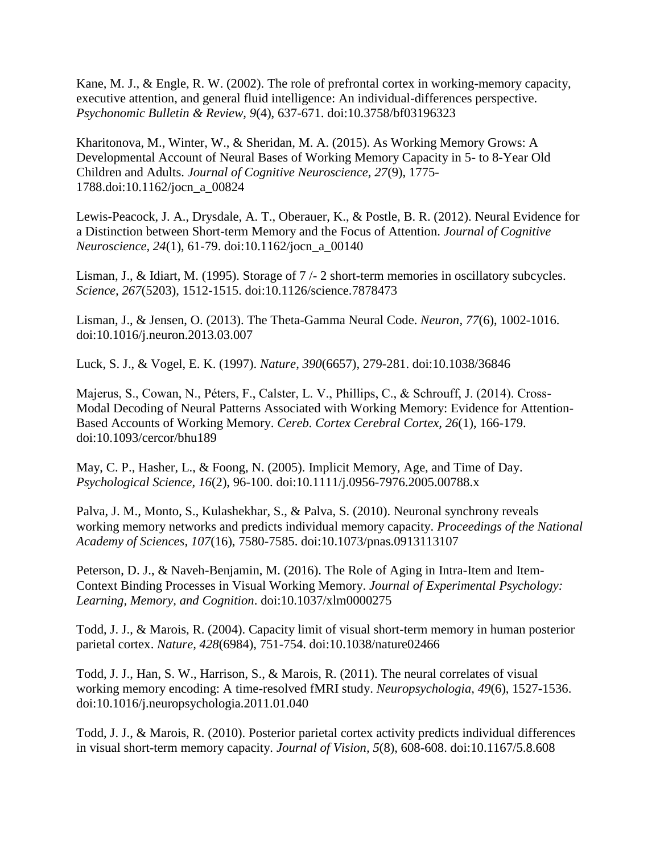Kane, M. J., & Engle, R. W. (2002). The role of prefrontal cortex in working-memory capacity, executive attention, and general fluid intelligence: An individual-differences perspective. *Psychonomic Bulletin & Review, 9*(4), 637-671. doi:10.3758/bf03196323

Kharitonova, M., Winter, W., & Sheridan, M. A. (2015). As Working Memory Grows: A Developmental Account of Neural Bases of Working Memory Capacity in 5- to 8-Year Old Children and Adults. *Journal of Cognitive Neuroscience, 27*(9), 1775- 1788.doi:10.1162/jocn\_a\_00824

Lewis-Peacock, J. A., Drysdale, A. T., Oberauer, K., & Postle, B. R. (2012). Neural Evidence for a Distinction between Short-term Memory and the Focus of Attention. *Journal of Cognitive Neuroscience, 24*(1), 61-79. doi:10.1162/jocn\_a\_00140

Lisman, J., & Idiart, M. (1995). Storage of 7 /- 2 short-term memories in oscillatory subcycles. *Science, 267*(5203), 1512-1515. doi:10.1126/science.7878473

Lisman, J., & Jensen, O. (2013). The Theta-Gamma Neural Code. *Neuron, 77*(6), 1002-1016. doi:10.1016/j.neuron.2013.03.007

Luck, S. J., & Vogel, E. K. (1997). *Nature, 390*(6657), 279-281. doi:10.1038/36846

Majerus, S., Cowan, N., Péters, F., Calster, L. V., Phillips, C., & Schrouff, J. (2014). Cross-Modal Decoding of Neural Patterns Associated with Working Memory: Evidence for Attention-Based Accounts of Working Memory. *Cereb. Cortex Cerebral Cortex, 26*(1), 166-179. doi:10.1093/cercor/bhu189

May, C. P., Hasher, L., & Foong, N. (2005). Implicit Memory, Age, and Time of Day. *Psychological Science, 16*(2), 96-100. doi:10.1111/j.0956-7976.2005.00788.x

Palva, J. M., Monto, S., Kulashekhar, S., & Palva, S. (2010). Neuronal synchrony reveals working memory networks and predicts individual memory capacity. *Proceedings of the National Academy of Sciences, 107*(16), 7580-7585. doi:10.1073/pnas.0913113107

Peterson, D. J., & Naveh-Benjamin, M. (2016). The Role of Aging in Intra-Item and Item-Context Binding Processes in Visual Working Memory. *Journal of Experimental Psychology: Learning, Memory, and Cognition*. doi:10.1037/xlm0000275

Todd, J. J., & Marois, R. (2004). Capacity limit of visual short-term memory in human posterior parietal cortex. *Nature, 428*(6984), 751-754. doi:10.1038/nature02466

Todd, J. J., Han, S. W., Harrison, S., & Marois, R. (2011). The neural correlates of visual working memory encoding: A time-resolved fMRI study. *Neuropsychologia, 49*(6), 1527-1536. doi:10.1016/j.neuropsychologia.2011.01.040

Todd, J. J., & Marois, R. (2010). Posterior parietal cortex activity predicts individual differences in visual short-term memory capacity. *Journal of Vision, 5*(8), 608-608. doi:10.1167/5.8.608